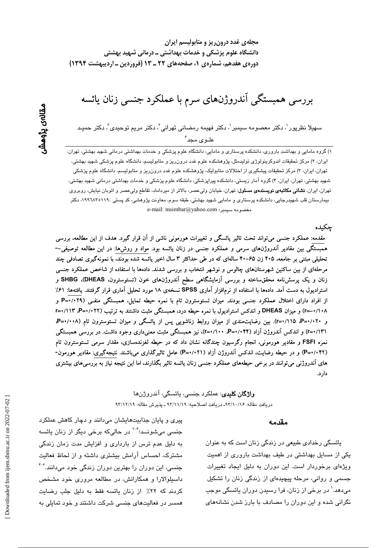مجلهی غدد درون ریز و متابولیسم ایران دانشگاه علوم پزشکی و خدمات بهداشتی ــ درمانی شهید بهشتی دورهی هفدهم، شمارهی ۱، صفحههای ۲۲ ـ ۱۳ (فروردین ـ اردیبهشت ۱۳۹۴)

بررسی همبستگی آندروژنهای سرم با عملکرد جنسی زنان یائسه

سهيلا نظرپور <sup>י</sup>، دکتر معصومه سيمبر <sup>י</sup>، دکتر فهيمه رمضانی تهرانی َّ، دکتر مريم توحي*دی* َّ، دکتر حميـد علـو ی محد آ

۱) گروه مامایی و بهداشت باروری، دانشکده پرستاری و مامایی، دانشگاه علوم پزشکی و خدمات بهداشتی درمانی شهید بهشتی، تهران، ایران، ۲) مرکز تحقیقات اندوکرینولوژی تولیدمثل، پژوهشکده علوم غدد درون٫ریز و متابولیسم، دانشگاه علوم پزشکی شهید بهشتی، تهران، ایران، ۳) مرکز تحقیقات پیشگیری از اختلالات متابولیک، پژوهشکده علوم غدد درون(ریز و متابولیسم، دانشگاه علوم پزشکی شهید بهشتی، تهران، ایران، ۴) گروه آمار زیستی، دانشکده پیراپزشکی، دانشگاه علوم پزشکی و خدمات بهداشتی درمانی شهید بهشتی، تهران، ایران، **نشانی مکاتبهی نویسندهی مسئول**: تهران، خیابان ولیعصر، بالاتر از میرداماد، تقاطع ولیعصر و اتوبان نیایش، روبروی بیمارستان قلب شهیدرجایی، دانشکده پرستاری و مامایی شهید بهشتی، طبقه سوم، معاونت پژوهشی، کد پستی :۱۹۹-۱۹۹۸،۱۹کتر e-mail: msimbar@yahoo.com معصومه سيمبر؛

حكىدە

مقدمه: عملکرد جنسی میتواند تحت تاثیر پائسگی و تغییرات هورمونی ناشی از آن قرار گیرد. هدف از این مطالعه، بررسی همبستگی بین مقادیر آندروژنهای سرمی و عملکرد جنسی در زنان یائسه بود. مواد و روشها: در این مطالعه توصیفی--تحلیلی مبتنی بر جامعه، ۴۰۵ زن ۶۵–۴۰ سالهای که در طی حداکثر ۳ سال اخیر یائسه شده بودند، با نمونهگیری تصادفی چند مرحلهای از بین ساکنین شهرستانهای چالوس و نوشهر انتخاب و بررسی شدند. دادهها با استفاده از شاخص عملکرد جنسی زنان و یک پرسشنامه محققساخته و بررسی آزمایشگاهی سطح آندروژن@ای خون (تستوسترون، DHEAS)، SHBG و استرادیول به دست آمد. دادهها با استفاده از نرمافزار آماری SPSS نسخهی ۱۸ مورد تحلیل آماری قرار گرفتند. یافتهها: ۶۱٪ از افراد دارای اختلال عملکرد جنسی بودند. میزان تستوسترون تام با نمره حیطه تمایل، همبستگی منفـی (۲۹+/۰۲۰ و ۰/۱۰۸–r=) و میزان DHEAS و اندکس استرادیول با نمره حیطه درد، همبستگی مثبت داشتند به ترتیب (۲۲+۰/-P=۰/۱۲ آ+۱= و ۰/۰۲+P=۰/۱۱۵+۲=۲). بین رضایتمندی از میزان روابط زناشویی پس از یائسگی و میزان تستوسترون تام (۰۰۸+۰+P، ۲۱/۱۳۱) و اندکس آندروژن آزاد (۴۴/۰۴۴=R، ۱۰۰/۰=۲)، نیز همبستگی مثبت معنیداری وجود داشت. در بررسی همبستگی نمره FSFI و مقادیر هورمونی، انجام رگرسیون چندگانه نشان داد که در حیطه لغزندهسازی، مقدار سرمی تستوسترون تام (۴۲+/•=P) و در حیطه رضایت، اندکس آندروژن آزاد (۱+۲++P) عامل تاثیرگذاری میباشند. نتیجهگیری: مقادیر هورمون-های آندروژنی میتوانند در برخی حیطههای عملکرد جنسی زنان پائسه تاثیر بگذارند، اما این نتیجه نیاز به بررسیهای بیشتری دار د.

## **واژگان کلیدی**: عملکرد جنسی، پائسگی، آندروژنها دريافت مقاله: ١٣/١٠/١۶\_ دريافت اصلاحيه: ٩٣/١١/١٩ ـ يذيرش مقاله: ٩٣/١٢/١٩

#### مقدمه

پائسگی رخدادی طبیعی در زندگی زنان است که به عنوان یکی از مسایل بهداشتی در طیف بهداشت باروری از اهمیت ویژهای برخوردار است. این دوران به دلیل ایجاد تغییرات جسمی و روانی، مرحله پیچیدهای از زندگی زنان را تشکیل میدهد.' در برخی از زنان، فرا رسیدن دوران یائسگی موجب نگرانی شده و این دوران را مصادف با بارز شدن نشانههای

پیری و پایان جذابیتهایشان میدانند و دچار کاهش عملکرد جنسی میشونــد؛<sup>۳-۲</sup> در حالیکه برخی دیگر از زنان یائسه به دلیل عدم ترس از بارداری و افزایش مدت زمان زندگی مشترک، احساس آرامش بیشتری داشته و از لحاظ فعالیت جنسی، این دوران را بهترین دوران زندگی خود میدانند.<sup>۶-۶</sup> داسپلوالارا و همکارانش، در مطالعه مروری خود مشخص کردند که ۲۲٪ از زنان پائسه فقط به دلیل جلب رضایت همسر در فعالیتهای جنسی شرکت داشتند و خود تمایلی به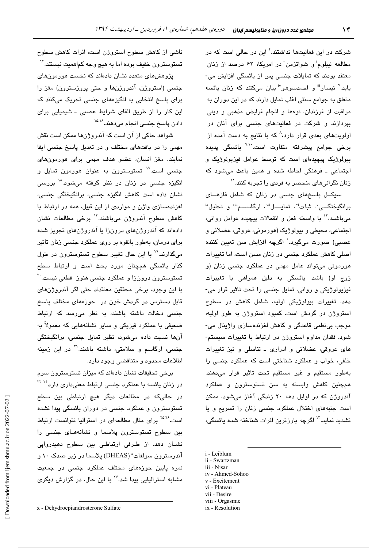شرکت در این فعالیتها نداشتند.<sup>۲</sup> این در حال*ی* است که در مطالعه لیبلوم<sup>:</sup> و شواتزمن<sup>"</sup> در امریکا، ۶۲ درصد از زنان معتقد بودند که تمایلات جنسی پس از پائسگی افزایش می-یابد.<sup>۷</sup> نیسار<sup>اا</sup> و احمدسوهو" بیان میکنند که زنان یائسه متعلق به جوامع سنتی اغلب تمایل دارند که در این دوران به مراقبت از فرزندان، نوهها و انجام فرایض مذهبی و دینی بپردازند و شرکت در فعالیتهای جنسی برای آنان در اولویتهای بعدی قرار دارد،<sup>۸</sup> که با نتایج به دست آمده از برخی جوامع پیشرفته متفاوت است<sup>. ۹،۱</sup>۰ یائسگی پدیده بیولوژیک پیچیدهای است که توسط عوامل فیزیولوژیک و اجتماعی ـ فرهنگی احاطه شده و همین باعث میشود که زنان نگرانیهای منحصر به فردی را تجربه کنند.''

سیکــل پاسخهای جنسی در زنان که شامل فازهــای برانگیختگــی"، ثبات"، تمایـــل""، ارگاســـم"" و تحلیل" می باشد، `` با واسطه فعل و انفعالات پیچیده عوامل روانی، اجتماعی، محیطی و بیولوژیک (هورمونی، عروقی، عضلانی و عصبي) صورت ميگيرد.` اگرچه افزايش سن تعيين كننده اصلے کاهش عملکرد جن*سی* در زنان مسن است، اما تغییرات هورمونی میتواند عامل مهمی در عملکرد جنسی زنان (و زوج او) باشد. یائسگی به دلیل همراهی با تغییرات فيزيولوژيکي و رواني، تمايل جنسي را تحت تاثير قرار مي-دهد. تغییرات بیولوژیکی اولیه، شامل کاهش در سطوح استروژن در گردش است. کمبود استروژن به طور اولیه، موجب بي نظمي قاعدگي و كاهش لغزندهسازي واژينال مي-شود. فقدان مداوم استروژن در ارتباط با تغییرات سیستم-های عروقی، عضلانی و ادراری ـ تناسلی و نیز تغییرات خلقی، خواب و عملکرد شناختی است که عملکرد جنسی را بهطور مستقيم و غير مستقيم تحت تاثير قرار مى دهند. همچنین کاهش وابسته به سن تستوسترون و عملکرد آندروژن که در اوایل دهه ۲۰ زندگی آغاز میشود، ممکن است جنبههای اختلال عملکرد جنسی زنان را تسریع و یا تشدید نماید.<sup>۱۲</sup> اگرچه بارزترین اثرات شناخته شده یائسگی،

- i Leiblum
- ii Swartzman iii - Nisar
- iv Ahmed-Sohoo
- v Excitement
- vi Plateau
- vii Desire
- viii Orgasmic

ناشی از کاهش سطوح استروژن است، اثرات کاهش سطوح تستوسترون خفیف بوده اما به هیچ وجه کماهمیت نیستن*د*.<sup>۱۴</sup>

پژوهشهای متعدد نشان دادهاند که نخست هورمونهای جنسی (استروژن، آندروژنها و حتی پروژسترون) مغز را برای پاسخ انتخابی به انگیزههای جنسی تحریک میکنند که اين كار را از طريق القاى شرايط عصبى ـ شيميايى براى دادن پاسخ جنسی انجام میدهند.<sup>۱۵،۱۶</sup>

شواهد حاکی از آن است که آندروژنها ممکن است نقش مهمی را در بافتهای مختلف و در تعدیل پاسخ جنسی ایفا نمایند. مغز انسان، عضو هدف مهمی برای هورمونهای جن*سی* است.<sup>۱۷</sup> تستوسترون به عنوان هورمون تمایل و انگیزه جن*سی د*ر زنان در نظر گرفته میشود.<sup>۱۸</sup> پررس*ی* نشان داده است کاهش انگیزه جنسی، برانگیختگی جنسی، لغزندهسازی واژن و مواردی از این قبیل، همه در ارتباط با کاهش سطوح آندروژن میںاشند.<sup>۱۴</sup> برخی مطالعات نشان دادهاند که آندروژنهای درونزا یا آندروژنهای تجویز شده برای درمان، بەطور بالقوه بر روی عملکرد جنسی زنان تاثیر ميگذارند.<sup>۱۹</sup> با اين حال تغيير سطوح تستوسترون در طول گذار یائسگی همچنان مورد بحث است و ارتباط سطح تستوسترون درونزا و عملکرد جن*سی* هنوز قطعی نیست.<sup>۲۰</sup> با اين وجود، برخي محققين معتقدند حتى اگر آندروژنهاي قابل دسترس در گردش خون در حوزههای مختلف پاسخ جنسی دخالت داشته باشند، به نظر می رسد که ارتباط ضعیفی با عملکرد فیزیکی و سایر نشانههایی که معمولاً به آنها نسبت داده میشود، نظیر تمایل جنسی، برانگیختگی جن*سی،* ارگاسم و سلامتی، داشته باشند.<sup>\۲</sup> در این زمینه اطلاعات محدود و متناقضی وجود دارد.

برخی تحقیقات نشان دادهاند که میزان تستوسترون سرم در زنان یائسه با عملکرد جنسی ارتباط معنیداری دارد<sup>۲۲-۲۲</sup> در حالیکه در مطالعات دیگر هیچ ارتباطی بین سطح تستوسترون و عملکرد جنسی در دوران پائسگی پیدا نشده است.<sup>۲۵،۲۶</sup> برای مثال مطالعهای در استرالیا نتوانست ارتباط بین سطوح تستوسترون پلاسما و نشانههـای جنسی را نشـان دهد. از طـرفی ارتباطـی بین سطوح دهیدروایی آندرسترون سولفات<sup>×</sup> (DHEAS) پلاسما در زیر صدک ۱۰ و نمره پایین حوزه*های* مختلف عملکرد جن*سی* در جمعیت مشابه استرالیایی پیدا شد.<sup>۲۷</sup> با این حال، در گزارش دیگری

ix - Resolution

x - Dehydroepiandrosterone Sulfate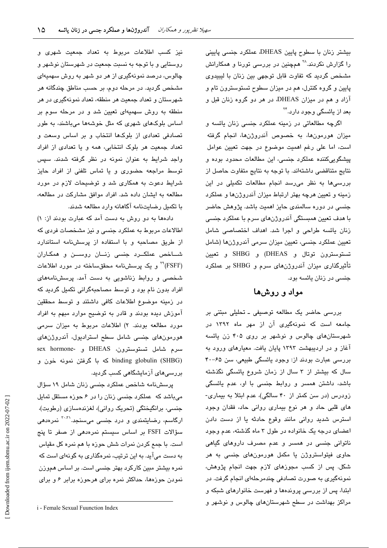بیشتر زنان با سطوح پایین DHEAS، عملکرد جنسی پایینی را گزارش نکردند.<sup>۲۸</sup> همچنین در بررسی تورنا و همکارانش مشخص گردید که تفاوت قابل توجهی بین زنان با لیبیدوی پایین و گروه کنترل، هم در میزان سطوح تستوسترون تام و آزاد و هم در میزان DHEAS، در هر دو گروه زنان قبل و یعد از پائسگی وجود دارد.<sup>۲۴</sup>

اگرچه مطالعاتی در زمینه عملکرد جنسی زنان یائسه و میزان هورمونها، به خصوص آندروژنها، انجام گرفته است، اما علی رغم اهمیت موضوع در جهت تعیین عوامل پیشگوییکننده عملکرد جنسی، این مطالعات محدود بوده و نتايج متناقضي داشتهاند. با توجه به نتايج متفاوت حاصل از بررسی ها به نظر می رسد انجام مطالعات تکمیلی در این زمینه و تعیین هرچه بهتر ارتباط میزان آندروژنها و عملکرد جنسی در دوره سالمندی حایز اهمیت باشد. پژوهش حاضر با هدف تعیین همبستگی آندروژنهای سرم با عملکرد جنسی زنان یائسه طراحی و اجرا شد. اهداف اختصاصی شامل تعیین عملکرد جنسی، تعیین میزان سرمی آندروژنها (شامل تستوسترون توتال و DHEAS) و SHBG و تعيين تأثیرگذاری میزان آندروژن۱های سرم و SHBG بر عملکرد جنسی در زنان یائسه بود.

# مواد و روشها

بررسی حاضر یک مطالعه توصیفی ـ تحلیلی مبتنی بر جامعه است که نمونهگیری آن از مهر ماه ۱۳۹۲ در شهرستان های چالوس و نوشهر بر روی ۴۰۵ زن یائسه آغاز و در اردیبهشت ۱۳۹۳ پایان یافت. معیارهای ورود به بررسی عبارت بودند از: وجود پائسگی طبیعی، سن ۶۵–۴۰ سال که بیشتر از ۳ سال از زمان شروع یائسگی نگذشته باشد، داشتن همسر و روابط جنسی با او، عدم یائسگی زودرس (در سن کمتر از ۴۰ سالگی)، عدم ابتلا به بیماری-های قلبی حاد و هر نوع بیماری روانی حاد، فقدان وجود استرس شديد روانى مانند وقوع حادثه يا از دست دادن اعضای درجه یک خانواده در طول ۳ ماه گذشته، عدم وجود ناتوانی جنسی در همسر و عدم مصرف داروهای گیاهی حاوی فیتواستروژن یا مکمل هورمونهای جنسی به هر شکل. پس از کسب مجوزهای لازم جهت انجام پژوهش، نمونهگیری به صورت تصادفی چندمرحلهای انجام گرفت. در ابتدا، پس از بررسی پروندهها و فهرست خانوارهای شبکه و مراکز بهداشت در سطح شهرستانهای چالوس و نوشهر و

نيز كسب اطلاعات مربوط به تعداد جمعيت شهرى و روستایی و با توجه به نسبت جمعیت در شهرستان نوشهر و چالوس، درصد نمونهگیری از هر دو شهر به روش سهمیهای مشخص گردید. در مرحله دوم، بر حسب مناطق چندگانه هر شهرستان و تعداد جمعیت هر منطقه، تعداد نمونهگیری در هر منطقه به روش سهمیهای تعیین شد و در مرحله سوم بر اساس بلوکهای شهری که مثل خوشهها میباشند، به طور تصادفی تعدادی از بلوکها انتخاب و بر اساس وسعت و تعداد جمعت هر بلوک انتخابی، همه و با تعدادی از افراد واجد شرایط به عنوان نمونه در نظر گرفته شدند. سپس توسط مراجعه حضوری و یا تماس تلفنی از افراد حایز شرایط دعوت به همکاری شد و توضیحات لازم در مورد مطالعه به ایشان داده شد. افراد موافق مشارکت در مطالعه، با تکمیل رضایتنامه آگاهانه وارد مطالعه شدند.

دادهها به دو روش به دست آمد که عبارت بودند از: ۱) اطالاعات مربوط به عملکرد جنسی و نیز مشخصات فردی که از طریق مصاحبه و با استفاده از پرسشنامه استاندارد شـاخص عملکــرد جنسی زنــان روســن و همکـاران (FSFI)<sup>۲۹</sup> و یک پرسشنامه محققساخته در مورد اطلاعات شخصی و روابط زناشویی به دست آمد. پرسشنامههای افراد بدون نام بود و توسط مصاحبهگرانی تکمیل گردید که در زمینه موضوع اطلاعات کافی داشتند و توسط محققین آموزش دیده بودند و قادر به توضیح موارد مبهم به افراد مورد مطالعه بودند. ٢) اطلاعات مربوط به میزان سرمی هورمونهای جنسی شامل سطح استرادیول، آندروژنهای sex hormone- و DHEAS و sex hormonebinding globulin (SHBG) که با گرفتن نمونه خون و بررسی۵ای آزمایشگاهی کسب گردید.

پرسشنامه شاخص عملکرد جنسی زنان شامل ١٩ سؤال میباشد که عملکرد جنسی زنان را در ۶ حوزه مستقل تمایل جنسی، برانگیختگی (تحریک روانی)، لغزندهسازی (رطوبت)، ارگاسم، رضایتمن*دی* و درد جن*سی* میسنجد.<sup>۳۰،۳</sup> نمرهد*هی* سؤالات FSFI بر اساس سیستم نمرهدهی از صفر تا پنج است. با جمع کردن نمرات شش حوزه با هم نمره کل مقیاس به دست میآید. به این ترتیب، نمرهگذاری به گونهای است که نمرہ بیشتر مبین کارکرد بھتر جنسی است. بر اساس ھمورزن نمودن حوزهها، حداکثر نمره برای هرحوزه برابر ۶ و برای

i - Female Sexual Fuunction Index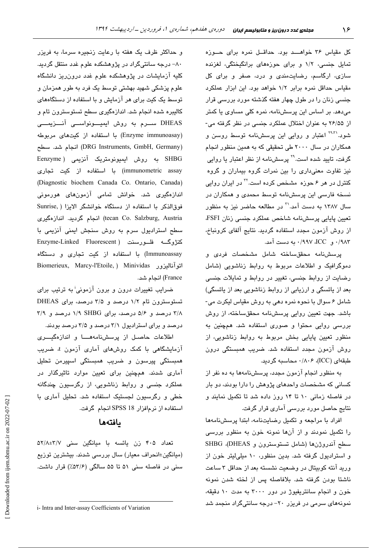کل مقیاس ۳۶ خواهــد بود. حداقـل نمره برای حـوزه تمایل جنسی، ۱/۲ و برای حوزههای برانگیختگی، لغزنده سازی، ارگاسم، رضایتمندی و درد، صفر و برای کل مقیاس حداقل نمره برابر ١/٢ خواهد بود. این ابزار عملکرد جنسی زنان را در طول چهار هفته گذشته مورد بررسی قرار مے،دھد. پر اساس این پرسش،نامه، نمرہ کلی مساوی یا کمتر از ۲۶/۵۵ به عنوان اختلال عملکرد جنسی در نظر گرفته می-شود.<sup>'۹،۳</sup>' اعتبار و روایی این پرسشنامه توسط روسن و همکاران در سال ۲۰۰۰ طی تحقیقی که به همین منظور انجام گرفت، تایید شده است.<sup>۲۹</sup> پرسشنامه از نظر اعتبار یا روایی نیز تفاوت معنیداری را بین نمرات گروه بیماران و گروه کنترل در هر ۶ حوزه مشخص کرده است.<sup>۲۲</sup> در ایران روایی نسخه فارسی این پرسشنامه توسط محمدی و همکاران در سال ۱۳۸۷ به دست آمد.<sup>۳۱</sup> در مطالعه حاضر نیز به منظور تعبين ياباني پرسشنامه شاخص عملكرد جنسي زنان FSFI از روش آزمون مجدد استفاده گردید. نتایج آلفای کرونباخ، ۰/۹۸۳ و ICC، ۰/۹۹۷ به دست آمد.

يرسشنامه محققساخته شامل مشخصات فردي و دموگرافیک و اطلاعات مربوط به روابط زناشویی (شامل رضایت از روابط جنسی، تغییر در روابط و تمایلات جنسی بعد از پائسگی و ارزیابی از روابط زناشویی بعد از پائسگی) شامل ۶ سوال با نحوه نمره دهی به روش مقیاس لیکرت می-باشد. جهت تعیین روایی پرسشنامه محققساخته، از روش بررسی روایی محتوا و صوری استفاده شد. همچنین به منظور تعیین پایایی بخش مربوط به روابط زناشویی، از روش آزمون مجدد استفاده شد. ضریب همبستگی درون طبقهای (ICC)، ۰/۸۰۶ محاسبه گردید.

به منظور انجام آزمون مجدد، پرسشنامهها به ده نفر از کسانی که مشخصات واحدهای پژوهش را دارا بودند، دو بار در فاصله زمانی ١٠ تا ١۴ روز داده شد تا تكميل نمايند و نتایج حاصل مورد بررسی آماری قرار گرفت.

افراد با مراجعه و تكميل رضايت نامه، ابتدا پرسش نامهها را تکمیل نمودند و از آنها نمونه خون به منظور بررسی سطح آندروژنها (شامل تستوسترون و SHBG ،(DHEAS) و استرادیول گرفته شد. بدین منظور، ١٠ میلی لیتر خون از ورید آنته کوبیتال در وضعیت نشسته بعد از حداقل ۳ ساعت ناشتا بودن گرفته شد. بلافاصله پس از لخته شدن نمونه خون و انجام سانتریفیوژ در دور ۳۰۰۰ به مدت ۱۰ دقیقه، نمونههای سرمی در فریزر ۲۰– درجه سانتیگراد منجمد شد

و حداکثر ظرف یک هفته با رعایت زنجیره سرما، به فریزر ۸۰– درجه سانتیگراد در پژوهشکده علوم غدد منتقل گردید. کلیه آزمایشات در پژوهشکده علوم غدد درون ریز دانشگاه علوم پزشکی شهید بهشتی توسط یک فرد به طور همزمان و توسط یک کیت برای هر آزمایش و با استفاده از دستگاههای کالبیره شده انجام شد. اندازهگیری سطح تستوسترون تام و DHEAS ســرم به روش ایمیــونواســی آنــزیمـــی (Enzyme immunoasay) با استفاده از کیتهای مربوطه (DRG Instruments, GmbH, Germany) انجام شد. سطح SHBG به روش ایمیونومتریک آنزیمی ( Eenzyme immunometric assay) با استفاده از کیت تجاری (Diagnostic biochem Canada Co. Ontario, Canada) اندازهگیری شد. خوانش تمامی آزمونهای هورمونی فوق الذكر با استفاده از دستگاه خوانشگر الايزا ( Sunrise, tecan Co. Salzburg, Austria) انجام گرديد. اندازهگري سطح استرادیول سرم به روش سنجش ایمنی آنزیمی با کنژوگــه فلـــورسنت (Enzyme-Linked Fluorescent Immunoassay) یا استفاده از کیت تجاری و دستگاه Biomerieux, Marcy-l'Etoile, ) Minividas اتوآناليزور France) انجام شد.

ضرایب تغییرات درون و برون آزمونی<sup>،</sup> به ترتیب برا*ی* تستوسترون تام ١/٢ درصد و ٣/٥ درصد، براى DHEAS ۳/۸ درصد و ۵/۶ درصد، برای ۱/۹ SHBG درصد و ۳/۹ درصد و برای استرادیول ۳/۱ درصد و ۳/۵ درصد بودند.

اطلاعات حاصىل از پرسشنامههسا و اندازهگیسری آزمایشگاهی با کمک روشهای آماری آزمون t، ضریب همبستگی پیرسون و ضریب همبستگی اسپیرمن تحلیل آماری شدند. همچنین برای تعیین موارد تاثیرگذار در عملکرد جنسی و روابط زناشویی، از رگرسیون چندگانه خطی و رگرسیون لجستیک استفاده شد. تحلیل آماری با استفاده از نرمافزار SPSS 18 انجام گرفت.

# بافتهها

تعداد ۴۰۵ زن یائسه با میانگین سنی ۵۲/۸±۳/۷ (میانگین±انحراف معیار) سال بررسی شدند. بیشترین توزیع سنی در فاصله سنی ۵۱ تا ۵۵ سالگی (۵۳/۶٪) قرار داشت.

i- Intra and Inter-assay Coefficients of Variation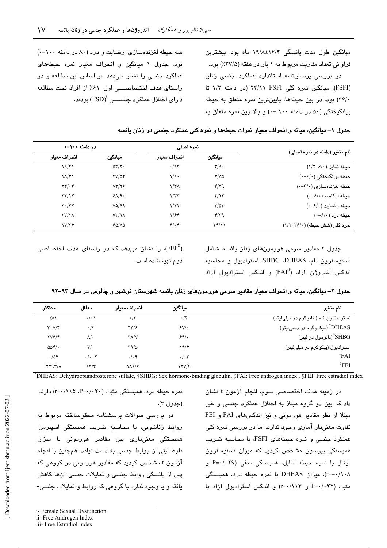میانگین طول مدت یائسگی ۱۴/۴±۱۹/۸ ماه بود. بیشترین فراوانی تعداد مقاربت مربوط به ۱ بار در هفته (۲۷/۵٪) بود. در دررسی پرسشنامه استاندارد عملکرد جنسی زنان (FSFI)، میانگین نمره کلی FSFI (۲۴/۱۱ (در دامنه ۱/۲ تا ٣۶/٠) بود. در بين حيطهها، پايينترين نمره متعلق به حيطه برانگېختگې (۵۰ در دامنه ۱۰۰ -۰) و پالاترين نمره متعلق په

سه حیطه لغزندهسازی، رضایت و درد (۸۰ در دامنه ۱۰۰–۰) بود. جدول ۱ میانگین و انحراف معیار نمره حیطههای عملکرد جنسی را نشان میدهد. در اساس این مطالعه و در راستای هدف اختصاصهی اول، ۶۱٪ از افراد تحت مطالعه دارای اختلال عملکرد جنســــی '(FSD) بودند.

|                                           |                         | تمرہ اصلے،        |                                  | در دامنه ۱۰۰–۰     |  |  |
|-------------------------------------------|-------------------------|-------------------|----------------------------------|--------------------|--|--|
| نام متغیر (دامنه در نمره اصلی)            | ميانكين                 | انحراف معيار      | ميانكين                          | انحراف معيار       |  |  |
| حيطه تمايل (١/٢-١/٢)                      | $\tau/\Lambda$ .        | $\cdot$ /95       | $\Delta \mathbf{Y}/\mathbf{Y}$ . | 19/81              |  |  |
| حیطه برانگیختگی (۰-/۰-۰)                  | $Y/\Lambda Q$           | $\sqrt{\cdot}$    | $YV/\Delta Y$                    | $1/\tau$           |  |  |
| حيطه لغزندهسازى (٠-٤/٠)                   | $\mathbf{r}/\mathbf{r}$ | $\sqrt{\tau}$     | VT/79                            | $\tau\tau/\cdot r$ |  |  |
| $(\cdot - \mathcal{F}/\cdot)$ حیطه ارگاسم | $\mathbf{f}/\mathbf{v}$ | $\gamma/\tau\tau$ | $P\Lambda/\gamma$ .              | YY/Y               |  |  |
| حيطه رضايت (٠-۶/٠)                        | $f/\Delta f$            | 1/77              | VQ/F9                            | $Y \cdot / YY$     |  |  |
| حیطه درد (۰-۶/۰)                          | 479                     | 1/Ff              | $VT/\lambda$                     | <b>TV/TA</b>       |  |  |
| نمره کلی (شش حیطه) (۲۶/۰-۱/۲)             | $Yf/\lambda$            | 5.4               | 50/10                            | V/T                |  |  |
|                                           |                         |                   |                                  |                    |  |  |

جدول ١– ميانگين، ميانه و انحراف معيار نمرات حيطهما و نمره كلي عملكرد جنسي در زنان يائسه

جدول ۲ مقادیر سرمی هورمونهای زنان یائسه، شامل تستوسترون تام، SHBG ،DHEAS، استرادیول و محاسبه اندکس آندروژن آزاد ("FAI) و اندکس استرادیول آزاد

(FEI"i)، را نشان میدهد که در راستای هدف اختصاصی دوم تهيه شده است.

| جدول ۲– میانگین، میانه و انحراف معیار مقادیر سرمی هورمونهای زنان یائسه شهرستان نوشهر و چالوس در سال ۹۳–۹۲ |  |
|-----------------------------------------------------------------------------------------------------------|--|
|-----------------------------------------------------------------------------------------------------------|--|

| نام متغیر                                  | ميانگين        | انحراف معبار          | حداقل                              | حداكثر                                   |
|--------------------------------------------|----------------|-----------------------|------------------------------------|------------------------------------------|
| تستوسترون تام ( نانوگرم در میلیلیتر)       | $\cdot$ /۴     | $\cdot$ /۴            | $\cdot/\cdot$                      | $\Delta/\Lambda$                         |
| ّ DHEAS <sup>*</sup> (میکروگرم در دسیلیتر) | $S_V$ .        | 47/5                  | $\cdot$ /۴                         | $\mathbf{r} \cdot \mathbf{V}/\mathbf{r}$ |
| ً SHBG <sup>†</sup> (نانومول در ليتر)      | 54'.           | $Y/\sqrt{V}$          | $\lambda/\cdot$                    | YVF/F                                    |
| استرادیول (پیگوگرم در میلیلیتر)            | ۱۹۱۶           | $\Gamma$ 9/0          | $V/\cdot$                          | $\Delta \Delta f / \cdot$                |
| FAI                                        | $\cdot/\cdot7$ | $\cdot/\cdot$ ۴       | $\cdot/\cdot\cdot$ $\cdot$ $\cdot$ | .704                                     |
| $\rm$ <sup>§</sup> FEI                     | YY/F           | $\lambda \lambda / 2$ | ۱۴/۴                               | $YYYY/\Lambda$                           |
|                                            |                |                       |                                    |                                          |

\*DHEAS: Dehydroepiandrosterone sulfate, †SHBG: Sex hormone-binding globulin, ‡FAI: Free androgen index, §FEI: Free estradiol index

در زمینه هدف اختصاصی سوم، انجام آزمون t نشان داد که بین دو گروه میتلا به اختلال عملکرد چنسی و غیر مبتلا از نظر مقادیر هورمونی و نیز اندکسهای FAI و FEI تفاوت معنیدار آماری وجود ندارد. اما در بررسی نمره کلی عملکرد جنسی و نمره حیطههای FSFI، یا محاسبه ضربت همبستگی پیرسون مشخص گردید که میزان تستوسترون توتال با نمره حیطه تمایل، همبستگی منفی (۶۹-/۰۲۹ و r=-۰/۱۰۸)، میزان DHEAS با نمره حیطه درد، همبستگی مثبت (P=٠/٠٢٢ و r=٠/١١٣) و اندكس استراديول آزاد با

نمره حیطه درد، همبستگی مثبت (۲۰/۰۲۰-r=۰/۱۱۵ ،P=۰/ (حدول ٣).

در بررسی سوالات پرسشنامه محققساخته مربوط به روابط زناشويى، با محاسبه ضريب همبستگى اسپيرمن، همبستگی معنی،داری بین مقادیر هورمونی با میزان نارضایتی از روابط جنسی به دست نیامد. همچنین با انجام آزمون t مشخص گردید که مقادیر هورمونی در گروهی که یس از پائسگی روابط جنسی و تمایلات جنسی آنها کاهش یافته و یا وجود ندارد با گروهی که روابط و تمایلات جنسی-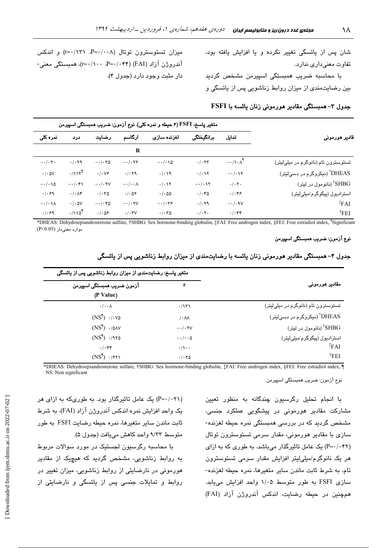شان پس از یائسگی تغییر نکرده و یا افزایش یافته بود*،* تفاوت معنىدارى ندارد.

با محاسبه ضربب همستگ*ی* اسپیرمن مشخص گردید بین رضایتمن*دی* از میزان روابط زناشویی پس از یائسگی و

میزان تستوسترون توتال (۲۰۰۸-P=۰/۱۳۱ (۲=۰) و اندکس آندروژن آزاد (FAI) (۲۴۴- ۲=۰/۱۰۰)، همبستگی معنی-دار مثبت وجود دارد (جدول ۴).

## جدول ۳– همبستگی مقادیر هورمونی زنان یائسه با FSFI

|                        | متغیر پاسخ: FSFI (۶ حیطه و نمره کلی). نوع آزمون: ضریب همبستگی اسپیرمن |                                        |                           |                               |                          |                                            |                                          |
|------------------------|-----------------------------------------------------------------------|----------------------------------------|---------------------------|-------------------------------|--------------------------|--------------------------------------------|------------------------------------------|
| نمرہ کلی               | درد                                                                   | رضايت                                  | ارگاسم                    | لغزنده سازى                   | برانگيختگى               | تمايل                                      | ـقادير هورموني                           |
|                        |                                                                       |                                        | R                         |                               |                          |                                            |                                          |
| $-\cdot/\cdot \tau$ .  | .7.79                                                                 | $-\cdot/\cdot\tau$ ۵                   | $-\cdot/\cdot$ ۲۲         | $-\cdot/\cdot\setminus\Delta$ | $\cdot/\cdot$ $\tau\tau$ | $-\cdot/\lambda \cdot \lambda^{\parallel}$ | تستوسترون تام (نانوگرم در میلیلیتر)      |
| $\cdot$ / $\cdot$ ۵۷   | $\cdot/\gamma\gamma^{\parallel}$                                      | $.  . \vee f$                          | .7.79                     | $\cdot/\cdot\vee\gamma$       | $\cdot/\cdot \vee \vee$  | $-\cdot/\cdot \vee \vee$                   | DHEAS <sup>*</sup> (میکروگرم در دسی!یتر) |
| $-\cdot/\cdot\sqrt{2}$ | $-1.4$                                                                | $ \cdot$ / $\cdot$ $\tau$ $\vee$       | $-\cdot/\cdot\cdot\wedge$ | . / . 17                      | $-\cdot/\cdot \vee \vee$ | $\cdot/\cdot \tau$ .                       | SHBG <sup>†</sup> (نانومول در ليتر)      |
| .  .99                 | $\cdot/\cdot\wedge\mathfrak{r}$                                       | $\cdot/\cdot\mathsf{r}\mathsf{\Delta}$ | $\cdot$ / $\cdot$ ۵۲      | $\cdot$ / $\cdot$ 00          | $\cdot/\cdot$ ۴۵         | $.  . \rangle$                             | اسٽراديول (پيگوگرم/ميلئليٽر)             |
| $-\cdot/\cdot\lambda$  | $\cdot$ / $\cdot$ ۵۷                                                  | $-\cdot/\cdot$ ۴۵                      | $-\cdot/\cdot$ TV         | $-\cdot/\cdot r$ ۶            | .7.79                    | $-1.9V$                                    | $*_{FAI}$                                |
| .1.99                  | $\cdot$ /110 <sup>1</sup>                                             | $. / .$ $\Delta$ ۶                     | $\cdot/\cdot \tau$        | $\cdot/\cdot\tau$ ٥           | $\cdot/\cdot \tau$ .     | $\cdot/\cdot$ ۴۴                           | $\rm$ <sup>§</sup> FEI                   |

\*DHEAS: Dehydroepiandrosterone sulfate, †SHBG: Sex hormone-binding globulin, ‡FAI: Free androgen index, §FEI: Free estradiol index, ¶ Significant موارد معنیدار (P<0.05)

### نوع آزمون: ضریب همبستگی اسپیرمن

|                                          | متغیر پاسخ: رضایت،ندی از میزان روابط زناشویی پس از یائسگی |                                           |  |  |  |  |  |  |  |
|------------------------------------------|-----------------------------------------------------------|-------------------------------------------|--|--|--|--|--|--|--|
| مقادیر هورمونی                           | r                                                         | آزمون ضريب همبستگي اسپيرمن                |  |  |  |  |  |  |  |
|                                          |                                                           | (P Value)                                 |  |  |  |  |  |  |  |
| تستوسترون تام (نانوگرم در میلیلیتر)      | $\cdot/\gamma\gamma\gamma$                                | $\cdot/\cdot\cdot\wedge$                  |  |  |  |  |  |  |  |
| DHEAS <sup>*</sup> (میکروگرم در دسیلیتر) | $\mathcal{L} \cdot \mathcal{N}$                           | $(NS^{\dagger}) \cdot / \cdot \vee \circ$ |  |  |  |  |  |  |  |
| <sup>†</sup> SHBG (نانومول در ليتر)      | $ \cdot$ / $\cdot$ $\tau$ $\vee$                          | $(NS^{\P}$ ·/ $\triangle$                 |  |  |  |  |  |  |  |
| استرادیول (پیگوگرم/میلیلیتر)             | $-\cdot/\cdot\cdot\Delta$                                 | $(NS^{\P}$ ) $\cdot$ /970                 |  |  |  |  |  |  |  |
| FAI                                      | $\cdot/\wedge\cdot\cdot$                                  | $. / .$ ۴۴                                |  |  |  |  |  |  |  |
| $\S$ FEI                                 | $\cdot/\cdot\vee\varphi$                                  | $(NS^{\P}$ ) $\cdot$ /۶۲۱                 |  |  |  |  |  |  |  |

جدول ۴– همبستگی مقادیر هورمونی زنان یائسه با رضایتمندی از میزان روابط زناشویی پس از یائسگی

\*DHEAS: Dehydroepiandrosterone sulfate, †SHBG: Sex hormone-binding globulin, ‡FAI: Free androgen index, §FEI: Free estradiol index, ¶ NS: Non significant

نوع آزمون: ضريب همبستگي اسپيرمن

با انجام تحلیل رگرسیون چن*د*گانه به منظور ت**ع**یین مشارکت مقادیر هورمون*ی* در پیشگویی عملکرد جن*سی*، مشخص گردید که در بررسی همبستگی نمره حیطه لغزنده-سازی با مقادیر هورمونی، مقدار سرمی تستوسترون توتال (P=۰/۰۴۲) یک عامل تاثیرگذار میباشد. به طوری که به ازای هر یک نانوگرم/میلیلیتر افزایش مقدار سرمی تستوسترون تام، به شرط ثابت ماندن سایر متغیرها، نمره حیطه لغزنده-سازی FSFI به طور متوسط ۱/۰۵ واحد افزایش میLبابد. همچنین در حیطه رضایت، اندکس آندروژن آزاد (FAI)

(P=۰/۰۲۱) یک عامل تاثیرگذار بود. به طوریکه به ازای هر یک واحد افزایش نمره اندکس آندروژن آزاد (FAI)، به شرط ثابت ماندن سایر متغیرها، نمره حیطه رضایت FSFI به طور متوسط ٩/٣٣ واحد كاهش مي يافت (جدول ۵).

با محاسبه رگرسیون لجستیک در مورد سوالات مربوط به روابط زناشویی، مشخص گردید که هیچیک از مقادیر هورمونی در نارضایتی از روابط زناشویی، میزان تغییر در روابط و تمایلات جنسی پس از یائسگی و نارضایتی از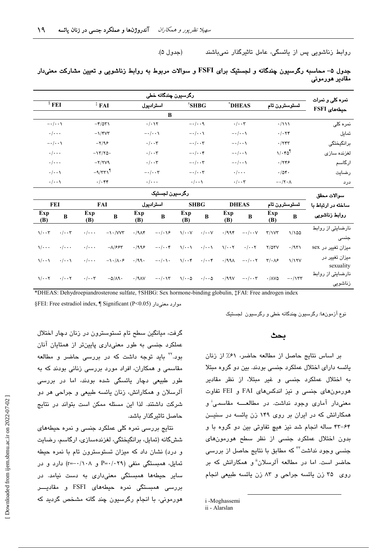روابط زناشویی پس از یائسگی، عامل تاثیرگذار نمیباشند (جدول ۵).

|                                          |                            |                                        |                            |                   |                           |                              | رگرسیون چندگانه خطی       |                         |                                    |                    |                        |                            |  |  |  |
|------------------------------------------|----------------------------|----------------------------------------|----------------------------|-------------------|---------------------------|------------------------------|---------------------------|-------------------------|------------------------------------|--------------------|------------------------|----------------------------|--|--|--|
| نمره کل <i>ی</i> و نمرات<br>حيطههای FSFI | تستوسترون تام              |                                        | *DHEAS                     |                   | <sup>†</sup> SHBG         |                              |                           | $\,$ * FAI<br>استراديول |                                    |                    | $\frac{8}{3}$ FEI      |                            |  |  |  |
|                                          |                            | B                                      |                            |                   |                           |                              |                           |                         |                                    |                    |                        |                            |  |  |  |
| نمرہ کل <i>ی</i>                         | $\cdot/\lambda\lambda$     |                                        | $\cdot/\cdot\cdot\tau$     |                   | $-\cdot/\cdot\cdot$       |                              | $\cdot/\cdot$             |                         | $-\mathfrak{r}/\Delta\mathfrak{r}$ |                    | $-\cdot/\cdot\cdot$    |                            |  |  |  |
| تمايل                                    | $\cdot/\cdot$ $\tau$ ۴     |                                        | $-\cdot/\cdot\cdot$        |                   |                           | $-\cdot/\cdot\cdot$          | $-\cdot/\cdot\cdot$       |                         | $-\frac{1}{\tau}$                  |                    | $\cdot/\cdot\cdot$     |                            |  |  |  |
| برانگیختگی                               | $\cdot$ /٢۴٣               |                                        | $-\cdot/\cdot\cdot$        |                   | $-\cdot/\cdot \cdot \tau$ |                              | $\cdot/\cdot\cdot\tau$    |                         | $-\tau/95$                         |                    | $-\cdot/\cdot\cdot$    |                            |  |  |  |
| لغزنده سازى                              | $1/\cdot 50^{\circ}$       |                                        | $-\cdot/\cdot\cdot$        |                   | $-\cdot/\cdot\cdot$ ۴     |                              | $\cdot/\cdot\cdot\tau$    |                         | $-\frac{1}{\sqrt{2}}$              |                    | $\cdot/\cdot\cdot$     |                            |  |  |  |
| ارگاسم                                   | .749                       |                                        | $-\cdot/\cdot\cdot$        |                   | $-\cdot/\cdot\cdot\tau$   |                              | $\cdot/\cdot\cdot\tau$    |                         | $-Y/7V9$                           |                    | $\cdot/\cdot\cdot$     |                            |  |  |  |
| رضايت                                    |                            | .704.                                  | $\cdot/\cdot\cdot\cdot$    |                   | $-\cdot/\cdot \cdot \tau$ |                              | $-\cdot/\cdot \cdot \tau$ |                         | $-9/771$                           |                    | $\cdot/\cdot\cdot$     |                            |  |  |  |
| درد                                      | $-\cdot/\tau \cdot \wedge$ |                                        | $\cdot/\cdot\cdot$ ۳       |                   | $\cdot/\cdot\cdot$        |                              | $\cdot/\cdot\cdot\cdot$   |                         | $\cdot/\cdot$ ۴۴                   |                    | $\cdot/\cdot\cdot$     |                            |  |  |  |
| سوالات محقق                              |                            |                                        |                            |                   |                           |                              | رگرسیون لجستیک            |                         |                                    |                    |                        |                            |  |  |  |
| ساخته در ارتباط با                       | تستوسترون تام              |                                        | <b>DHEAS</b>               |                   | <b>SHBG</b>               |                              | استراديول                 |                         | <b>FAI</b>                         |                    | FEI                    |                            |  |  |  |
| روابط زناشويى                            | $\bf{B}$                   | Exp<br>(B)                             | $\overline{B}$             | Exp<br>(B)        | $\overline{B}$            | Exp<br>(B)                   | $\overline{B}$            | Exp<br>(B)              | $\bf{B}$                           | Exp<br>(B)         | $\overline{B}$         | Exp<br>(B)                 |  |  |  |
| نارضایتی از روابط<br>جنسى                | 1/100                      | $\tau/\nu\tau$                         | $-\cdot/\cdot\cdot$ $\vee$ | $\cdot$ /994      | $\cdot/\cdot\cdot$ $\vee$ | $\sqrt{\cdot \cdot \sqrt{}}$ | $-\cdot/\cdot\gamma$ ۶    | $\cdot$ /9 $\wedge$ ۴   | $-1.7VV$                           | $\cdot/\cdot\cdot$ | $\cdot/\cdot\cdot\tau$ | $1/\cdot \cdot 7$          |  |  |  |
| میزان تغییر در sex                       | .7971                      | $Y/\Delta Y V$                         | $\cdot/\cdot\cdot$ ۲       | $1/\cdot \cdot 7$ | $\cdot/\cdot\cdot$        | $\sqrt{\cdot \cdot \cdot}$   | $-\cdot/\cdot\cdot$ ۴     | .7995                   | $-\lambda$ /۶۶۳                    | $\cdot/\cdot\cdot$ | $\cdot/\cdot\cdot$     | $\sqrt{\cdot \cdot \cdot}$ |  |  |  |
| میزان تغییر در<br>sexuality              | 1/15V                      | $\mathbf{Y}/\cdot\mathbf{A}\mathbf{P}$ | $-\cdot/\cdot \cdot \tau$  | $\cdot$ /991      | $\cdot/\cdot\cdot$ ۴      | $1/\cdot \cdot$ ۴            | $-\cdot/\cdot\cdot$       | $\cdot$ /99.            | $-\lambda \cdot / \lambda \cdot 5$ | $\cdot/\cdot\cdot$ | $\cdot/\cdot\cdot$     | 1/2.1                      |  |  |  |
| نارضایتی از روابط                        |                            |                                        |                            |                   |                           |                              |                           |                         |                                    |                    |                        |                            |  |  |  |

|  |  |  |  |  |  | جدول ۵– محاسبه رگرسیون چندگانه و لجستیک برای FSFI و سوالات مربوط به روابط زناشویی و تعیین مشارکت معنیدار |  |
|--|--|--|--|--|--|----------------------------------------------------------------------------------------------------------|--|
|  |  |  |  |  |  | مقادیر هورمونی                                                                                           |  |

\*DHEAS: Dehydroepiandrosterone sulfate, †SHBG: Sex hormone-binding globulin, ‡FAI: Free androgen index

 $\gamma/\gamma$   $\gamma/\gamma$   $\gamma$   $\gamma$  ion  $\gamma$  ion is in the interval in  $\gamma$  is interval in  $\gamma$  in  $\gamma$  is in  $\gamma$  in  $\gamma$ 

§FEI: Free estradiol index, ¶ Significant (P<0.05) -< -

نوع ازمونها: رگرسیون چندگانه خطی و رگرسیون لجستیک

.<br>زناشوی<u>ی</u>

گرفت، میانگین سطح تام تستوسترون در زنان دچار اختلال عملکرد جنسی به طور معنیداری پایینتر از همتایان انان بود.<sup>۲۲</sup> باید توجه داشت که در بررس*ی* حاضر و مطالعه مقاسمی و همکاران، افراد مورد بررسی زنانی بودند که به طور طب**یع**ی دچار یائسگی شده بودند، اما در بررس*ی* الرسلان و همکارانش، زنان یائسه طبیعی و جراحی هر دو شرکت داشتند. لذا این مسئله ممکن است بتواند در نتایج حاصل تاثیرگذار باشد.

نتایج بررس*ی* نمره کلی عملکرد جنسی و نمره حیطه*ه*ا*ی* ششگانه (تمایل، برانگیختگی، لغزندهسازی، ارگاسم، رضایت و درد) نشان داد که میزان تستوسترون تام با نمره حیطه تمایل، همبستگی منفی (۲۹/۲۹ و ۲۰۱۸/۰۰–r) دارد و در سایر حیطهها همبستگی معنیداری به دست نیامد. در بررسی همبستگی نمره حیطههای FSFI و مقادیــــر هورمونی، با انجام رگرسیون چند گانه مشخص گردید که

#### بحث

بر اساس نتايج حاصل از مطالعه حاضر، ۶۱٪ از زنان یائسه دارای اختلال عملکرد جنسی بودند. بین دو گروه مبتلا به اختلال عملکرد جنسی و غیر مبتلا، از نظر مقادیر هورمونهای جنسی و نیز اندکسهای FAI و FEI تفاوت معنیدار آماری وجود نداشت. در مطالعــــه مقاسمـی<sup>،</sup> و همکارانش که در ایران بر روی ۱۴۹ زن یائسه در سنیــن ۴۴-۴۳ ساله انجام شد نیز هیچ تفاوتی بین دو گروه با و بدون اختلال عملکرد جنسی از نظر سطح هورمونهای جنسی وجود نداشت<sup>۳</sup> که مطابق با نتایج حاصل از بررس*ی* حاضر است. اما در مطالعه آلرسلان" و همکارانش که بر روی ۳۵ زن یائسه جراحی و ۸۳ زن یائسه طبیعی انجام

i -Moghassemi

ii - Alarslan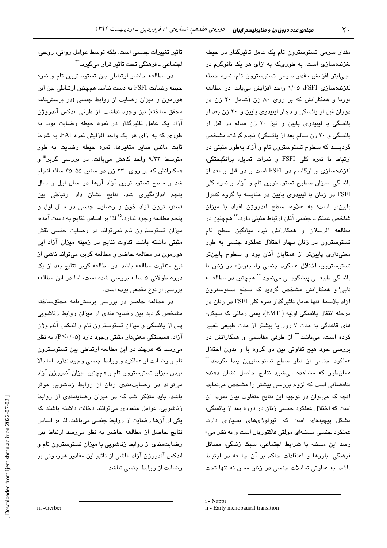مقدار سرمی تستوسترون تام یک عامل تاثیرگذار در حیطه لغزندهسازی است، به طوریکه به ازای هر یک نانوگرم در ميلي!پتر افزايش مقدار سرمى تستوسترون تام، نمره حيطه لغزندهسازی FSFI، ۱/۰۵ واحد افزایش میپابد. در مطالعه تورنا و همکارانش که بر روی ۸۰ زن (شامل ۲۰ زن در دوران قبل از پائسگی و دچار لیبیدوی پایین و ۲۰ زن بعد از یائسگی با لیبیدوی پایین و نیز ۲۰ زن سالم در قبل از یائسگی و ۲۰ زن سالم بعد از یائسگی) انجام گرفت، مشخص گردیـــد که سطوح تستوسترون تام و آزاد بهطور مثبتی در ارتباط با نمره كلى FSFI و نمرات تمايل، برانگيختگى، لغزندهسازی و ارگاسم در FSFI است و در قبل و بعد از یائسگی، میزان سطوح تستوسترون تام و آزاد و نمره کلی FSFI در زنان با لیبیدوی پایین در مقایسه با گروه کنترل پایینتر است؛ به علاوه، سطح آندروژن افراد با میزان شاخص عملکرد جن*سی* آنان ارتباط مثبتی دارد.<sup>۲۴</sup> همچنین در مطالعه آلرسلان و همکارانش نیز، میانگین سطح تام تستوسترون در زنان دچار اختلال عملکرد جنسی به طور معنیداری پایینتر از همتایان آنان بود و سطوح پایینتر تستوسترون، اختلال عملکرد جنسی را، بهویژه در زنان با ڀائ*س*گي طبيعــي پيشگويــي مينمود.<sup>۲۲</sup> همچنين در مطالعــه نایی<sup>:</sup> و همکارانش مشخص گردید که سطح تستوسترون آزاد پلاسما، تنها عامل تاثیرگذار نمره کلی FSFI در زنان در مرحله انتقال پائسگی اولیه (EMT")، یعنی زمانی که سیکل-های قاعدگی به مدت ۷ روز یا بیشتر از مدت طبیعی تغییر کرده است، میباشد.<sup>۲۲</sup> از طرفی مقاسمی و همکارانش در بررسی خود هیچ تفاوتی بین دو گروه با و بدون اختلال عملکرد جن*سی* از نظر سطح تستوسترون پیدا نکردند.<sup>۳۲</sup> همان طور که مشاهده میشود نتایج حاصل نشان دهنده تناقضاتی است که لزوم بررسی بیشتر را مشخص مینماید. آنچه که میتوان در توجیه این نتایج متفاوت بیان نمود، آن است که اختلال عملکرد جنسی زنان در دوره بعد از پائسگی، مشکل پیچیدهای است که اتیولوژیهای بسیاری دارد. عملکرد جنسی مسئلهای مولتی فاکتوریال است و به نظر می-رسد این مسئله با شرایط اجتماعی، سبک زندگی، مسائل فرهنگی، باورها و اعتقادات حاکم بر آن جامعه در ارتباط باشد. به عبارتی تمایلات جنسی در زنان مسن نه تنها تحت

تاثیر تغییرات جسمی است، بلکه توسط عوامل روانی، روحی، اجتماعی ـ فرهنگی تحت تاثیر قرار میگیرد.<sup>۳۴</sup>

در مطالعه حاضر ارتباطی بین تستوسترون تام و نمره حیطه رضایت FSFI به دست نیامد. همچنین ارتباطی بین این هورمون و میزان رضایت از روابط جنسی (در پرسشنامه محقق ساخته) نیز وجود نداشت. از طرفی اندکس آندروژن آزاد یک عامل تاثیرگذار در نمره حیطه رضایت بود. به طوری که به ازای هر یک واحد افزایش نمره FAI، به شرط .<br>ثابت ماندن سایر متغیرها، نمره حیطه رضایت به طور متوسط ۹/۳۳ واحد کاهش مییافت. در بررس*ی* گربر<sup>iii</sup> و همکارانش که بر روی ۲۳ زن در سنین ۵۵-۴۵ ساله انجام شد و سطح تستوسترون آزاد آنها در سال اول و سال پنجم اندازهگیری شد، نتایج نشان داد ارتباطی بین تستوسترون آزاد خون و رضایت جنسی در سال اول و ينجم مطالعه وجود ندارد.<sup>7</sup>° لذا بر اساس نتايج به دست آمده، میزان تستوسترون تام نمیتواند در رضایت جنسی نقش مثبتی داشته باشد. تفاوت نتایج در زمینه میزان آزاد این هورمون در مطالعه حاضر و مطالعه گربر، میتواند ناشی از نوع متفاوت مطالعه باشد. در مطالعه گربر نتایج بعد از یک دوره طولانی ۵ ساله بررسی شده است، اما در این مطالعه بررسی از نوع مقطعی بوده است.

در مطالعه حاضر در بررسی پرسشنامه محققساخته مشخص گردید بین رضایتمندی از میزان روابط زناشویی پس از پائسگی و میزان تستوسترون تام و اندکس آندروژن آزاد، همبستگی معنیدار مثبتی وجود دارد (P<۰/۰۵). به نظر میرسد که هرچند در این مطالعه ارتباطی بین تستوسترون تام و رضایت از عملکرد و روابط جنسی وجود ندارد، اما بالا بودن میزان تستوسترون تام و همچنین میزان آندروژن آزاد میتواند در رضایتمندی زنان از روابط زناشویی موثر باشد. باید متذکر شد که در میزان رضایتمندی از روابط زناشویی، عوامل متعددی میتوانند دخالت داشته باشند که یکی از آنها رضایت از روابط جنسی میباشد. لذا بر اساس نتايج حاصل از مطالعه حاضر به نظر مى رسد ارتباط بين رضایتمندی از روابط زناشویی با میزان تستوسترون تام و اندکس آندروژن آزاد، ناشی از تاثیر این مقادیر هورمونی بر رضایت از روابط جنسی نباشد.

iii -Gerber

i - Nappi

ii - Early menopausal transition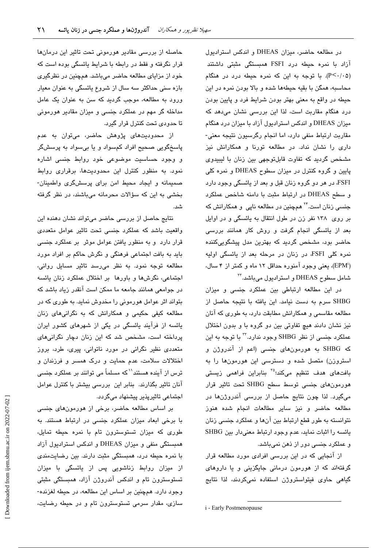در مطالعه حاضر، میزان DHEAS و اندکس استرادیول آزاد با نمره حیطه درد FSFI همبستگی مثبتی داشتند (P<۰/۰۵). با توجه به این که نمره حیطه درد در هنگام محاسبه، همگن با بقیه حیطهها شده و بالا بودن نمره در این حیطه در واقع به معنی بهتر بودن شرایط فرد و پایین بودن درد هنگام مقاربت است، لذا این بررسی نشان می،دهد که میزان DHEAS و اندکس استرادیول آزاد با میزان درد هنگام مقاربت ارتباط منفی دارد، اما انجام رگرسیون نتیجه معنی-داری را نشان نداد. در مطالعه تورنا و همکارانش نیز مشخص گردید که تفاوت قابلتوجهی بین زنان با لیبیدوی پایین و گروه کنترل در میزان سطوح DHEAS و نمره کلی FSFI، در هر دو گروه زنان قبل و بعد از پائسگی وجود دارد و سطح DHEAS در ارتباط مثبت با دامنه شاخص عملكرد جن*سی* زنان است.<sup>۲۴</sup> همچنین در مطالعه ناپی و همکارانش که بر روی ۱۳۸ نفر زن در طول انتقال به پائسگی و در اوایل بعد از پائسگی انجام گرفت و روش کار همانند بررسی حاضر بود، مشخص گردید که بهترین مدل پیشگوییکننده نمره کلی FSFI، در زنان در مرحله بعد از پائسگی اولیه (EPMi)، یعنی وجود آمنوره حداقل ۱۲ ماه و کمتر از ۴ سال، شامل سطوح DHEAS و استرادیول میباشد. <sup>۲۲</sup>

در این مطالعه ارتباطی بین عملکرد جنسی و میزان SHBG سرم به دست نیامد. این یافته با نتیجه حاصل از مطالعه مقاسمی و همکارانش مطابقت دارد، به طوری که آنان نیز نشان دادند هیچ تفاوتی بین دو گروه با و بدون اختلال عملکرد جنسی از نظر SHBG وجود ندارد.\*'' با توجه به این که SHBG به هورمونهای جنسی (اعم از آندروژن و استروزن) متصل شده و دسترسی این هورمونها را به بافتهای هدف تنظیم میکند؛<sup>۳۵</sup> بنابراین فراهمی زیستی هورمونهای جنسی توسط سطح SHBG تحت تاثیر قرار میگیرد. لذا چون نتایج حاصل از بررسی آندروژنها در مطالعه حاضر و نیز سایر مطالعات انجام شده هنوز نتوانسته به طور قطع ارتباط بین آنها و عملکرد جنسی زنان يائسه را اثبات نمايد، عدم وجود ارتباط معنىدار بين SHBG و عملکرد جنسی دور از ذهن نمیباشد.

از آنجایی که در این بررسی افرادی مورد مطالعه قرار گرفتهاند که از هورمون درمانی جایگزینی و یا داروهای گیاهی حاوی فیتواستروژن استفاده نمیکردند، لذا نتایج

i - Early Postmenopause

حاصله از بررسی مقادیر هورمونی تحت تاثیر این درمانها قرار نگرفته و فقط در رابطه با شرایط پائسگی بوده است که خود از مزایای مطالعه حاضر میباشد. همچنین در نظرگیری بازه سنی حداکثر سه سال از شروع یائسگی به عنوان معیار ورود به مطالعه، موجب گردید که سن به عنوان یک عامل مداخله گر مهم در عملکرد جنسی و میزان مقادیر هورمونی تا حدودی تحت کنترل قرار گیرد.

از محدودیتهای پژوهش حاضر، میتوان به عدم پاسخگويي صحيح افراد کمسواد و يا بيسواد به پرسشگر و وجود حساسیت موضوعی خود روابط جنسی اشاره نمود. به منظور کنترل این محدودیتها، برقراری روابط صمیمانه و ایجاد محیط امن برای پرسشگری واطمینان-بخشی به این که سؤالات محرمانه میباشند، در نظر گرفته شد.

نتایج حاصل از بررسی حاضر میتواند نشان دهنده این واقعیت باشد که عملکرد جنسی تحت تاثیر عوامل متعددی قرار دارد و به منظور یافتن عوامل موثر بر عملکرد جنسی باید به بافت اجتماعی فرهنگی و نگرش حاکم بر افراد مورد مطالعه توجه نمود. به نظر میرسد تاثیر مسایل روانی، اجتماعی، نگرشها و باورها بر اختلال عملکرد زنان پائسه در جوامعی همانند جامعه ما ممکن است آنقدر زیاد باشد که بتواند اثر عوامل هورمونی را مخدوش نماید. به طوری که در مطالعه کیفی حکیمی و همکارانش که به نگرانیهای زنان یائسه از فرآیند یائسگی در یکی از شهرهای کشور ایران پرداخته است، مشخص شد که این زنان دچار نگرانی های متعددی نظیر نگرانی در مورد ناتوانی، پیری، طرد، بروز اختلالات سلامت، عدم حمایت و درک همسر و فرزندان و ترس از آینده هستند'` که مسلماً می توانند بر عملکرد جنسی آنان تاثیر بگذارند. بنابر این بررسی بیشتر با کنترل عوامل اجتماعی تاثیریذیر پیشنهاد میگردد.

بر اساس مطالعه حاضر، برخی از هورمونهای جنسی با برخی ابعاد میزان عملکرد جنسی در ارتباط هستند. به طوری که میزان تستوسترون تام با نمره حیطه تمایل، همبستگی منفی و میزان DHEAS و اندکس استرادیول آزاد با نمره حیطه درد، همبستگی مثبت دارند. بین رضایتمندی از میزان روابط زناشویی پس از پائسگی با میزان تستوسترون تام و اندکس آندروژن آزاد، همبستگی مثبتی وجود دارد. همچنین بر اساس این مطالعه، در حیطه لغزنده-سازی، مقدار سرمی تستوسترون تام و در حیطه رضایت،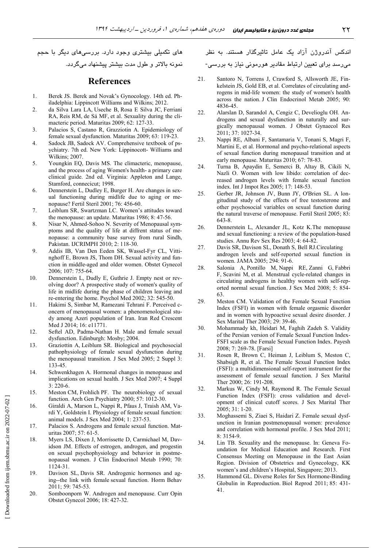های تکمیلی بیشتری وجود دارد. بررسیهای دیگر با حجم نمونه بالاتر و طول مدت بیشتر پیشنهاد میگردد.

### **References**

- $\mathbf{1}$ . Berek JS. Berek and Novak's Gynocology. 14th ed. Philadelphia: Lippincott Williams and Wilkins; 2012.
- $\overline{2}$ . da Silva Lara LA, Useche B, Rosa E Silva JC, Ferriani RA, Reis RM, de Sá MF, et al. Sexuality during the climacteric period. Maturitas 2009; 62: 127-33.
- $3.$ Palacios S, Castano R, Grazziotin A. Epidemiology of female sexual dysfunction. Maturitas 2009; 63: 119-23.
- $\overline{4}$ Sadock JB, Sadock AV. Comprehensive textbook of psychiatry. 7th ed. New York: Lippinocott- Williams and Wilkins; 2007.
- Youngkin EQ, Davis MS. The climacteric, menopause,  $5.$ and the process of aging Women's health- a primary care clinical guide. 2nd ed. Virginia: Appleton and Lange, Stamford, connecicut; 1998.
- 6. Dennerstein L, Dudley E, Burger H. Are changes in sexual functioning during midlife due to aging or menopause? Fertil Steril 2001; 76: 456-60.
- Leiblum SR, Swartzman LC. Women's attitudes toward 7. the menopause: an update. Maturitas 1986; 8: 47-56.
- 8. Nisar N, Ahmed-Sohoo N. Severity of Menopausal symptoms and the quality of life at diffrent status of menopause: a community base survey from rural Sindh, Pakistan. IJCRIMPH 2010; 2: 118-30.
- $9<sub>1</sub>$ Addis IB, Van Den Eeden SK, Wassel-Fyr CL, Vittinghoff E, Brown JS, Thom DH. Sexual activity and function in middle-aged and older women. Obstet Gynecol 2006; 107: 755-64.
- 10. Dennerstein L, Dudly E, Guthrie J. Empty nest or revolving door? A prospective study of women's quality of life in midlife during the phase of children leaving and re-entering the home. Psychol Med 2002; 32: 545-50.
- Hakimi S, Simbar M, Ramezani Tehrani F. Perceived c- $11$ oncern of menopausal women: a phenomenological study among Azeri population of Iran. Iran Red Crescent Med J 2014; 16: e11771.
- 12. Seftel AD, Padma-Nathan H. Male and female sexual dysfunction. Edinburgh: Mosby; 2004.
- 13. Graziottin A, Leiblum SR. Biological and psychosocial pathophysiology of female sexual dysfunction during the menopausal transition. J Sex Med 2005; 2 Suppl 3: 133-45.
- 14. Schwenkhagen A. Hormonal changes in menopause and implications on sexual health. J Sex Med 2007; 4 Suppl  $3:220-6.$
- 15. Meston CM, Frohlich PF. The neurobiology of sexual function. Arch Gen Psychiatry 2000; 57: 1012-30.
- Giraldi A, Marson L, Nappi R, Pfaus J, Traish AM, Va-16 rdi Y, Goldstein I. Physiology of female sexual function: animal models. J Sex Med 2004; 1: 237-53.
- $17.$ Palacios S. Androgens and female sexual function. Maturitas 2007; 57: 61-5.
- 18. Myers LS, Dixen J, Morrissette D, Carmichael M, Davidson JM. Effects of estrogen, androgen, and progestin on sexual psychophysiology and behavior in postmenopausal women. J Clin Endocrinol Metab 1990; 70:  $1124 - 31$ .
- 19. Davison SL, Davis SR. Androgenic hormones and aging--the link with female sexual function. Horm Behav 2011; 59: 745-53.
- 20. Somboonporn W. Androgen and menopause. Curr Opin Obstet Gynecol 2006; 18: 427-32.

اندکس آندروژن آزاد یک عامل تاثیرگذار هستند. به نظر میرسد برای تعیین ارتباط مقادیر هورمونی نیاز به بررسی-

- Santoro N, Torrens J, Crawford S, Allsworth JE, Fin- $21$ kelstein JS, Gold EB, et al. Correlates of circulating androgens in mid-life women: the study of women's health across the nation. J Clin Endocrinol Metab 2005; 90: 4836-45.
- 22. Alarslan D, Sarandol A, Cengiz C, Develioglu OH. Androgens and sexual dysfunction in naturally and surgically menopausal women. J Obstet Gynaecol Res 2011; 37: 1027-34.
- Nappi RE, Albani F, Santamaria V, Tonani S, Magri F, 23. Martini E, et al. Hormonal and psycho-relational aspects of sexual function during menopausal transition and at early menopause. Maturitas 2010; 67: 78-83.
- 24. Turna B, Apaydin E, Semerci B, Altay B, Cikili N, Nazli O. Women with low libido: correlation of decreased androgen levels with female sexual function index. Int J Impot Res 2005; 17: 148-53.
- Gerber JR, Johnson JV, Bunn JY, O'Brien SL. A lon-25. gitudinal study of the effects of free testosterone and other psychosocial variables on sexual function during the natural traverse of menopause. Fertil Steril 2005; 83: 643-8.
- 26. Dennerstein L, Alexander JL, Kotz K.The menopause and sexual functioning: a review of the population-based studies. Annu Rev Sex Res 2003; 4: 64-82.
- 27. Davis SR, Davison SL, Donath S, Bell RJ.Circulating androgen levels and self-reported sexual function in women. JAMA 2005; 294: 91-6.
- 28. Salonia A, Pontillo M, Nappi RE, Zanni G, Fabbri F, Scavini M, et al. Menstrual cycle-related changes in circulating androgens in healthy women with self-reported normal sexual function. J Sex Med 2008; 5: 854-63
- 29. Meston CM. Validation of the Female Sexual Function Index (FSFI) in women with female orgasmic disorder and in women with hypoactive sexual desire disorder. J Sex Marital Ther 2003; 29: 39-46.
- 30. Mohammady kh, Heidari M, Faghih Zadeh S. Validity of the Persian version of Female Sexual Function Index-FSFI scale as the Female Sexual Function Index. Payesh 2008; 7: 269-78. [Farsi]
- 31. Rosen R, Brown C, Heiman J, Leiblum S, Meston C, Shabsigh R, et al. The Female Sexual Function Index (FSFI): a multidimensional self-report instrument for the assessment of female sexual function. J Sex Marital Ther 2000: 26: 191-208.
- Markus W, Cindy M, Raymond R. The Female Sexual 32. Function Index (FSFI): cross validation and development of clinical cutoff scores. J Sex Marital Ther 2005; 31: 1-20.
- 33. Moghassemi S, Ziaei S, Haidari Z. Female sexual dysfunction in Iranian postmenopausal women: prevalence and correlation with hormonal profile. J Sex Med 2011; 8: 3154-9.
- $34$ Lin TB. Sexuality and the menopause. In: Geneva Foundation for Medical Education and Research. First Consensus Meeting on Menopause in the East Asian Region. Division of Obstetrics and Gynecology, KK women's and children's Hospital, Singapore; 2013.
- 35. Hammond GL. Diverse Roles for Sex Hormone-Binding Globulin in Reproduction. Biol Reprod 2011; 85: 431-41